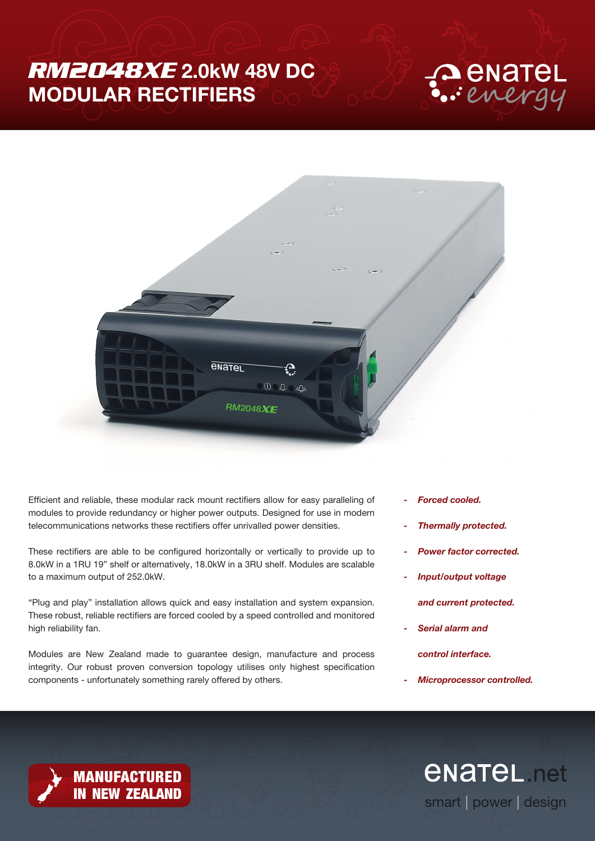# *RM2048XE* 2.0kW 48V DC MODULAR RECTIFIERS





Efficient and reliable, these modular rack mount rectifiers allow for easy paralleling of modules to provide redundancy or higher power outputs. Designed for use in modern telecommunications networks these rectifiers offer unrivalled power densities.

These rectifiers are able to be configured horizontally or vertically to provide up to 8.0kW in a 1RU 19" shelf or alternatively, 18.0kW in a 3RU shelf. Modules are scalable to a maximum output of 252.0kW.

"Plug and play" installation allows quick and easy installation and system expansion. These robust, reliable rectifiers are forced cooled by a speed controlled and monitored high reliability fan.

Modules are New Zealand made to guarantee design, manufacture and process integrity. Our robust proven conversion topology utilises only highest specification components - unfortunately something rarely offered by others.

**MANUFACTURED<br>IN NEW ZEALAND** 

- *Forced cooled.*
- *Thermally protected.*
- *Power factor corrected.*
- *Input/output voltage*
	- *and current protected.*
- *Serial alarm and control interface.*
- *Microprocessor controlled.*

*<u>ENATEL</u>* net smart | power | design